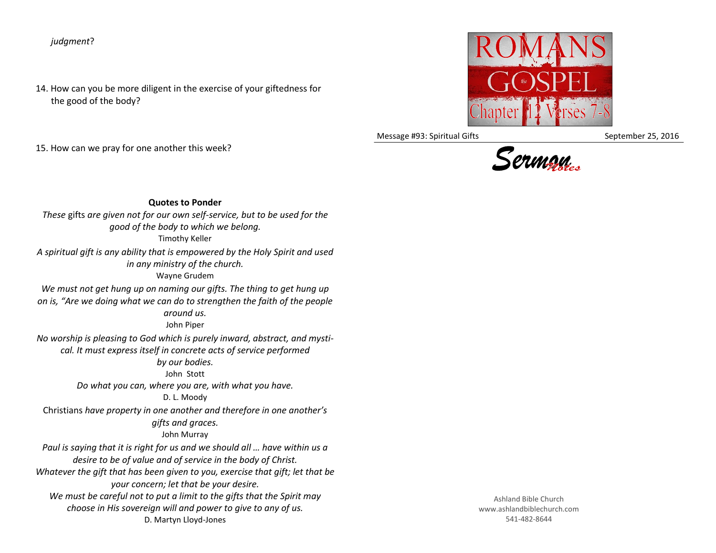## *judgment*?

14. How can you be more diligent in the exercise of your giftedness for the good of the body?



Message #93: Spiritual Gifts September 25, 2016



15. How can we pray for one another this week?

**Quotes to Ponder** *These* gifts *are given not for our own self-service, but to be used for the good of the body to which we belong.* Timothy Keller *A spiritual gift is any ability that is empowered by the Holy Spirit and used in any ministry of the church.* Wayne Grudem *We must not get hung up on naming our gifts. The thing to get hung up on is, "Are we doing what we can do to strengthen the faith of the people around us.* John Piper *No worship is pleasing to God which is purely inward, abstract, and mystical. It must express itself in concrete acts of service performed by our bodies.* John Stott *Do what you can, where you are, with what you have.* D. L. Moody Christians *have property in one another and therefore in one another's gifts and graces.* John Murray *Paul is saying that it is right for us and we should all … have within us a desire to be of value and of service in the body of Christ. Whatever the gift that has been given to you, exercise that gift; let that be your concern; let that be your desire. We must be careful not to put a limit to the gifts that the Spirit may choose in His sovereign will and power to give to any of us.* D. Martyn Lloyd-Jones

Ashland Bible Church www.ashlandbiblechurch.com 541-482-8644